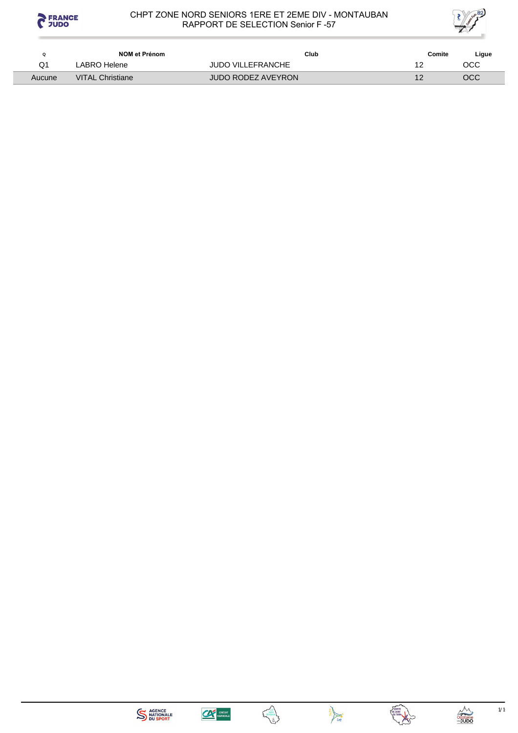

Ξ

#### CHPT ZONE NORD SENIORS 1ERE ET 2EME DIV - MONTAUBAN RAPPORT DE SELECTION Senior F -57



|        | NOM et Prénom           | Club                      | Comite | Ligue |
|--------|-------------------------|---------------------------|--------|-------|
| Q1     | LABRO Helene            | <b>JUDO VILLEFRANCHE</b>  |        | CC    |
| Aucune | <b>VITAL Christiane</b> | <b>JUDO RODEZ AVEYRON</b> |        | осс   |









 $1/1$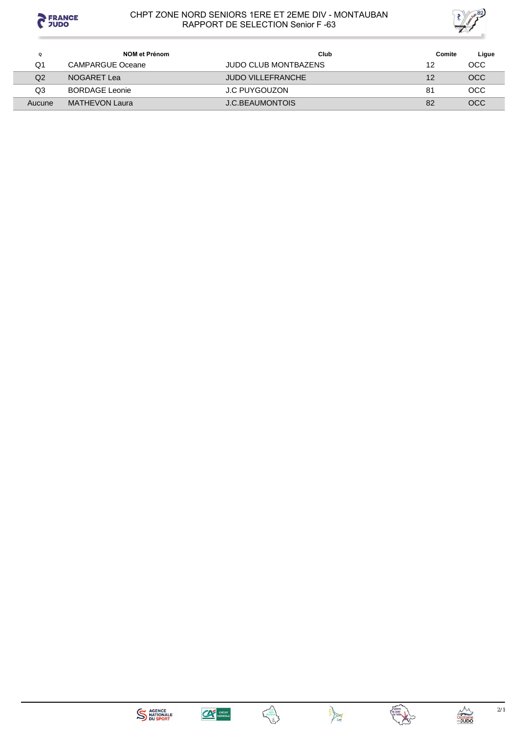



| Q      | <b>NOM et Prénom</b>  | Club                        | Comite | Ligue      |
|--------|-----------------------|-----------------------------|--------|------------|
| Q1     | CAMPARGUE Oceane      | <b>JUDO CLUB MONTBAZENS</b> | 12     | OCC        |
| Q2     | NOGARET Lea           | <b>JUDO VILLEFRANCHE</b>    | 12     | <b>OCC</b> |
| Q3     | <b>BORDAGE Leonie</b> | J.C PUYGOUZON               | 81     | <b>OCC</b> |
| Aucune | MATHEVON Laura        | J.C.BEAUMONTOIS             | 82     | OCC        |







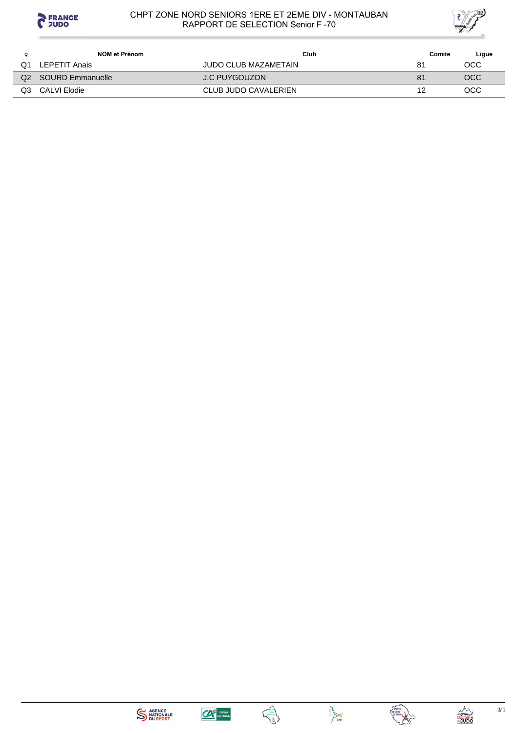



|                | NOM et Prénom    | Club                 | Comite | Ligue |
|----------------|------------------|----------------------|--------|-------|
| Q1             | LEPETIT Anais    | JUDO CLUB MAZAMETAIN | 81     | осс   |
| Q <sub>2</sub> | SOURD Emmanuelle | J.C PUYGOUZON        | 81     | OCC   |
| Q3             | CALVI Elodie     | CLUB JUDO CAVALERIEN |        | осс   |









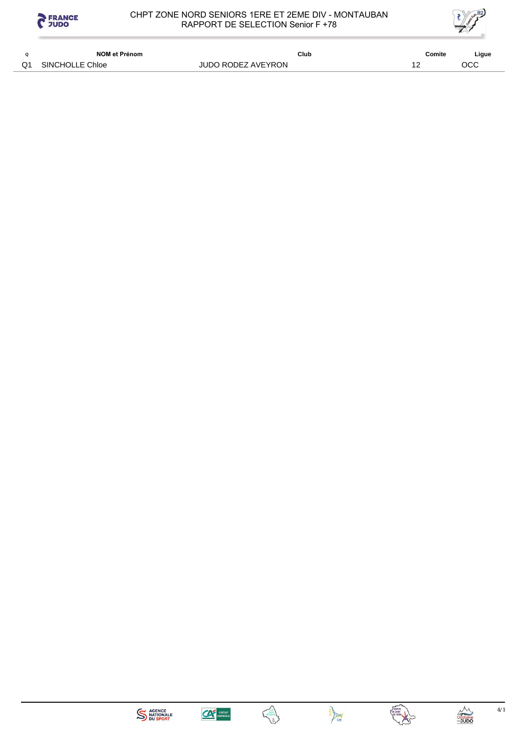



|    | NOM et Prénom   | Club               | Comite | Ligue |
|----|-----------------|--------------------|--------|-------|
| Q1 | SINCHOLLE Chloe | JUDO RODEZ AVEYRON |        | OCC   |







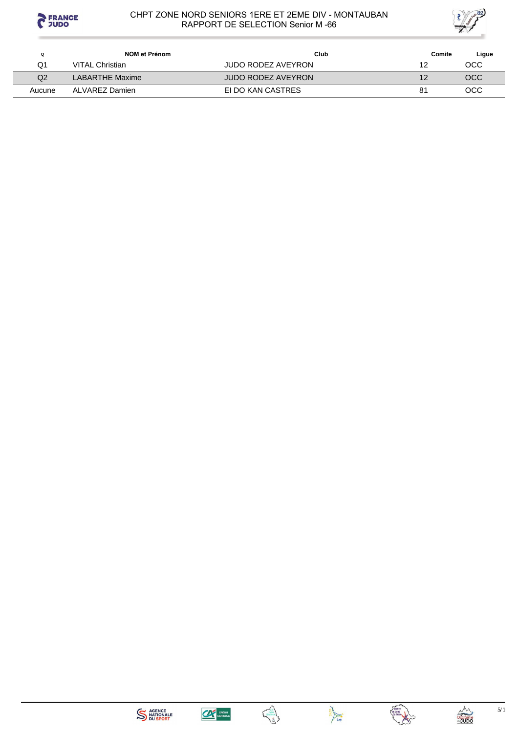



| Q      | NOM et Prénom   | Club                      | Comite | Ligue |
|--------|-----------------|---------------------------|--------|-------|
| Q1     | VITAL Christian | <b>JUDO RODEZ AVEYRON</b> | 12     | OCC   |
| Q2     | LABARTHE Maxime | <b>JUDO RODEZ AVEYRON</b> | 12     | OCC   |
| Aucune | ALVAREZ Damien  | EI DO KAN CASTRES         | 81     | OCC   |









 $5/1$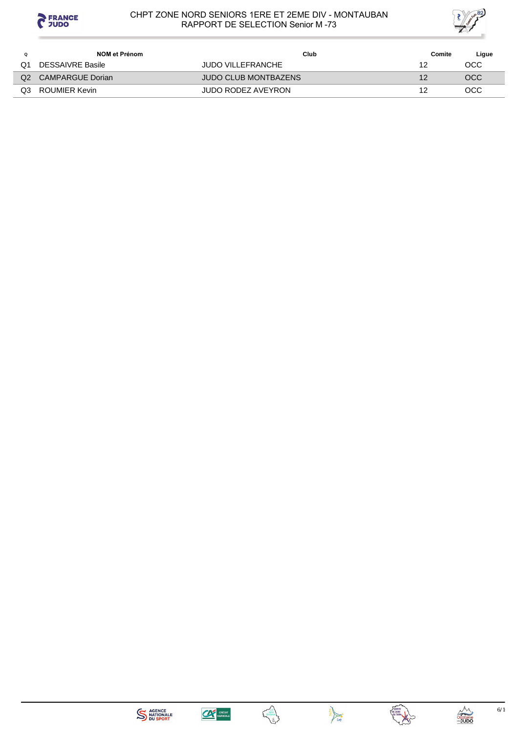



|                | NOM et Prénom           | Club                        | Comite | Ligue |
|----------------|-------------------------|-----------------------------|--------|-------|
| Q1             | <b>DESSAIVRE Basile</b> | <b>JUDO VILLEFRANCHE</b>    | 12     | OCC   |
| Q <sub>2</sub> | CAMPARGUE Dorian        | <b>JUDO CLUB MONTBAZENS</b> | 12     | OCC   |
| Q3             | ROUMIER Kevin           | <b>JUDO RODEZ AVEYRON</b>   | 12     | OCC   |
|                |                         |                             |        |       |







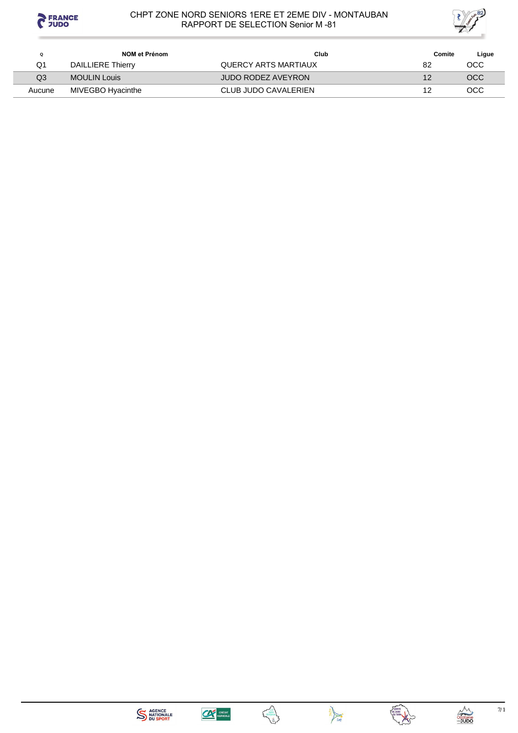



| Q      | NOM et Prénom            | Club                 | Comite | Ligue      |
|--------|--------------------------|----------------------|--------|------------|
| Q1     | <b>DAILLIERE Thierry</b> | QUERCY ARTS MARTIAUX | 82     | OCC        |
| Q3     | MOULIN Louis             | JUDO RODEZ AVEYRON   |        | <b>OCC</b> |
| Aucune | MIVEGBO Hyacinthe        | CLUB JUDO CAVALERIEN |        | OCC        |









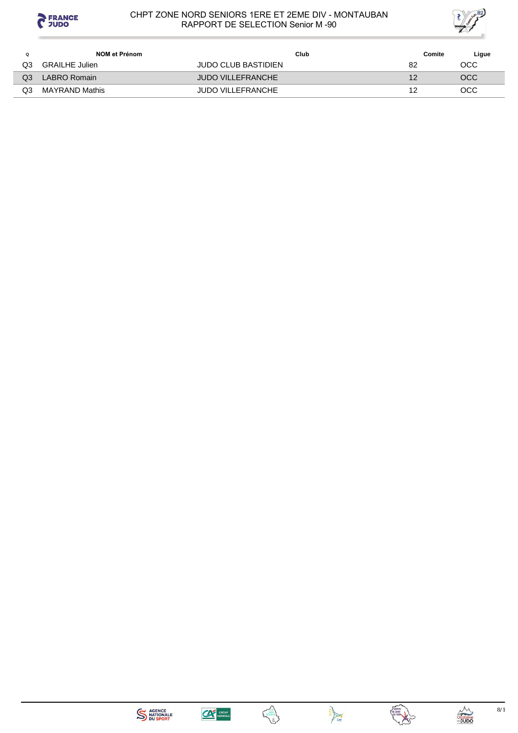



| Ω  | NOM et Prénom         | Club                     | Comite | Ligue      |
|----|-----------------------|--------------------------|--------|------------|
| OЗ | <b>GRAILHE Julien</b> | JUDO CLUB BASTIDIEN      | 82     | осс        |
| QЗ | LABRO Romain          | JUDO VILLEFRANCHE        |        | OCC        |
| QЗ | <b>MAYRAND Mathis</b> | <b>JUDO VILLEFRANCHE</b> |        | <b>OCC</b> |









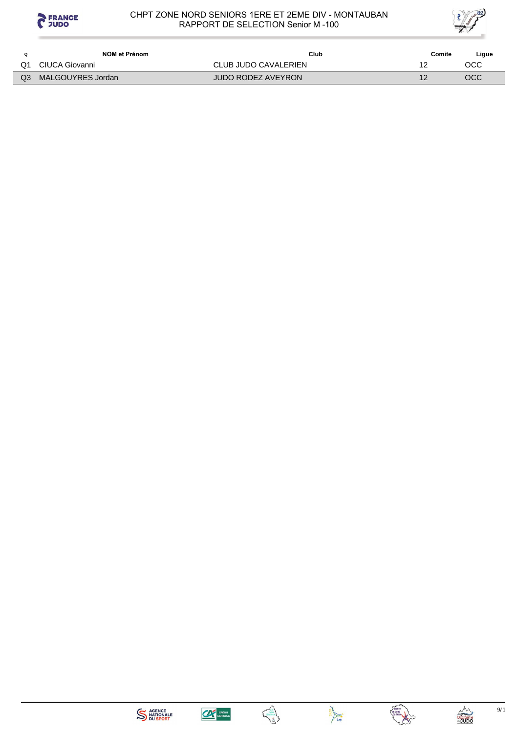



| NOM et Prénom     | Club                 | Comite | Ligue |
|-------------------|----------------------|--------|-------|
| CIUCA Giovanni    | CLUB JUDO CAVALERIEN |        | OCC   |
| MALGOUYRES Jordan | JUDO RODEZ AVEYRON   |        | OCC   |